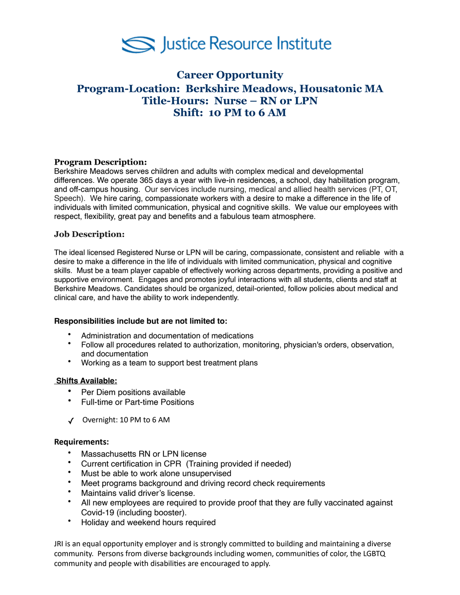

# **Career Opportunity Program-Location: Berkshire Meadows, Housatonic MA Title-Hours: Nurse – RN or LPN Shift: 10 PM to 6 AM**

# **Program Description:**

Berkshire Meadows serves children and adults with complex medical and developmental differences. We operate 365 days a year with live-in residences, a school, day habilitation program, and off-campus housing. Our services include nursing, medical and allied health services (PT, OT, Speech). We hire caring, compassionate workers with a desire to make a difference in the life of individuals with limited communication, physical and cognitive skills. We value our employees with respect, flexibility, great pay and benefits and a fabulous team atmosphere.

# **Job Description:**

The ideal licensed Registered Nurse or LPN will be caring, compassionate, consistent and reliable with a desire to make a difference in the life of individuals with limited communication, physical and cognitive skills. Must be a team player capable of effectively working across departments, providing a positive and supportive environment. Engages and promotes joyful interactions with all students, clients and staff at Berkshire Meadows. Candidates should be organized, detail-oriented, follow policies about medical and clinical care, and have the ability to work independently.

### **Responsibilities include but are not limited to:**

- Administration and documentation of medications
- Follow all procedures related to authorization, monitoring, physician's orders, observation, and documentation
- Working as a team to support best treatment plans

### **Shifts Available:**

- Per Diem positions available
- Full-time or Part-time Positions
- ✓ Overnight: 10 PM to 6 AM

### **Requirements:**

- Massachusetts RN or LPN license
- Current certification in CPR (Training provided if needed)
- Must be able to work alone unsupervised
- Meet programs background and driving record check requirements
- Maintains valid driver's license.
- All new employees are required to provide proof that they are fully vaccinated against Covid-19 (including booster).
- Holiday and weekend hours required

JRI is an equal opportunity employer and is strongly committed to building and maintaining a diverse community. Persons from diverse backgrounds including women, communities of color, the LGBTQ community and people with disabilities are encouraged to apply.